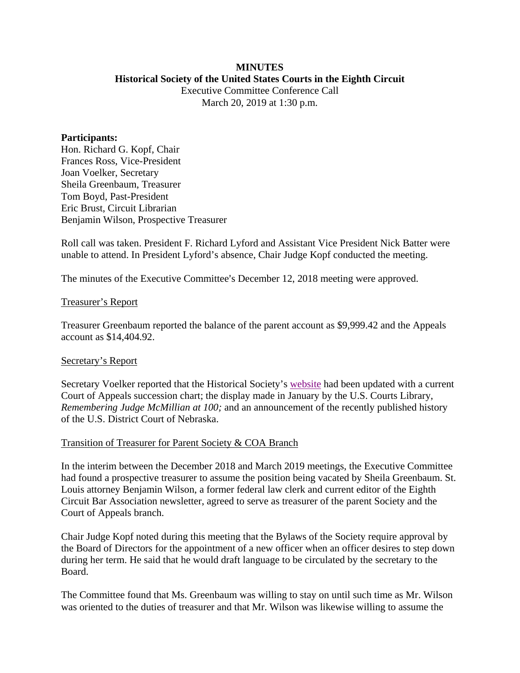#### **MINUTES Historical Society of the United States Courts in the Eighth Circuit**

Executive Committee Conference Call March 20, 2019 at 1:30 p.m.

#### **Participants:**

Hon. Richard G. Kopf, Chair Frances Ross, Vice-President Joan Voelker, Secretary Sheila Greenbaum, Treasurer Tom Boyd, Past-President Eric Brust, Circuit Librarian Benjamin Wilson, Prospective Treasurer

Roll call was taken. President F. Richard Lyford and Assistant Vice President Nick Batter were unable to attend. In President Lyford's absence, Chair Judge Kopf conducted the meeting.

The minutes of the Executive Committee's December 12, 2018 meeting were approved.

#### Treasurer's Report

Treasurer Greenbaum reported the balance of the parent account as \$9,999.42 and the Appeals account as \$14,404.92.

## Secretary's Report

Secretary Voelker reported that the Historical Society's [website](http://www.lb8.uscourts.gov/pubsandservices/histsociety/hist_society.html) had been updated with a current Court of Appeals succession chart; the display made in January by the U.S. Courts Library, *Remembering Judge McMillian at 100;* and an announcement of the recently published history of the U.S. District Court of Nebraska.

#### Transition of Treasurer for Parent Society & COA Branch

In the interim between the December 2018 and March 2019 meetings, the Executive Committee had found a prospective treasurer to assume the position being vacated by Sheila Greenbaum. St. Louis attorney Benjamin Wilson, a former federal law clerk and current editor of the Eighth Circuit Bar Association newsletter, agreed to serve as treasurer of the parent Society and the Court of Appeals branch.

Chair Judge Kopf noted during this meeting that the Bylaws of the Society require approval by the Board of Directors for the appointment of a new officer when an officer desires to step down during her term. He said that he would draft language to be circulated by the secretary to the Board.

The Committee found that Ms. Greenbaum was willing to stay on until such time as Mr. Wilson was oriented to the duties of treasurer and that Mr. Wilson was likewise willing to assume the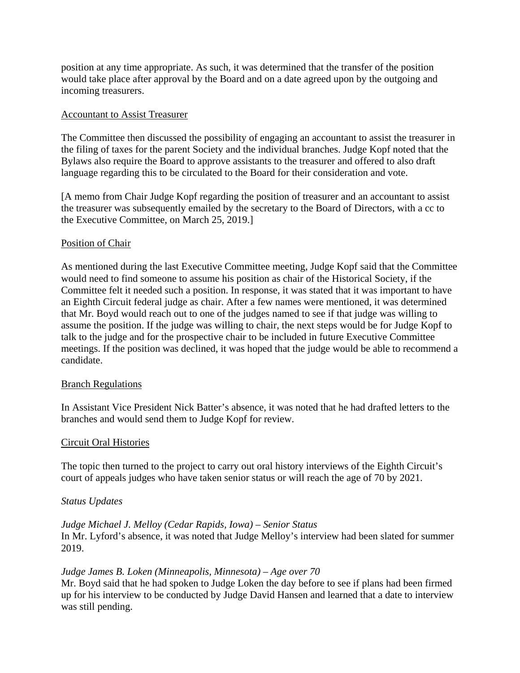position at any time appropriate. As such, it was determined that the transfer of the position would take place after approval by the Board and on a date agreed upon by the outgoing and incoming treasurers.

#### Accountant to Assist Treasurer

The Committee then discussed the possibility of engaging an accountant to assist the treasurer in the filing of taxes for the parent Society and the individual branches. Judge Kopf noted that the Bylaws also require the Board to approve assistants to the treasurer and offered to also draft language regarding this to be circulated to the Board for their consideration and vote.

[A memo from Chair Judge Kopf regarding the position of treasurer and an accountant to assist the treasurer was subsequently emailed by the secretary to the Board of Directors, with a cc to the Executive Committee, on March 25, 2019.]

## Position of Chair

As mentioned during the last Executive Committee meeting, Judge Kopf said that the Committee would need to find someone to assume his position as chair of the Historical Society, if the Committee felt it needed such a position. In response, it was stated that it was important to have an Eighth Circuit federal judge as chair. After a few names were mentioned, it was determined that Mr. Boyd would reach out to one of the judges named to see if that judge was willing to assume the position. If the judge was willing to chair, the next steps would be for Judge Kopf to talk to the judge and for the prospective chair to be included in future Executive Committee meetings. If the position was declined, it was hoped that the judge would be able to recommend a candidate.

## Branch Regulations

In Assistant Vice President Nick Batter's absence, it was noted that he had drafted letters to the branches and would send them to Judge Kopf for review.

## Circuit Oral Histories

The topic then turned to the project to carry out oral history interviews of the Eighth Circuit's court of appeals judges who have taken senior status or will reach the age of 70 by 2021.

#### *Status Updates*

# *Judge Michael J. Melloy (Cedar Rapids, Iowa) – Senior Status* In Mr. Lyford's absence, it was noted that Judge Melloy's interview had been slated for summer 2019.

## *Judge James B. Loken (Minneapolis, Minnesota) – Age over 70*

Mr. Boyd said that he had spoken to Judge Loken the day before to see if plans had been firmed up for his interview to be conducted by Judge David Hansen and learned that a date to interview was still pending.